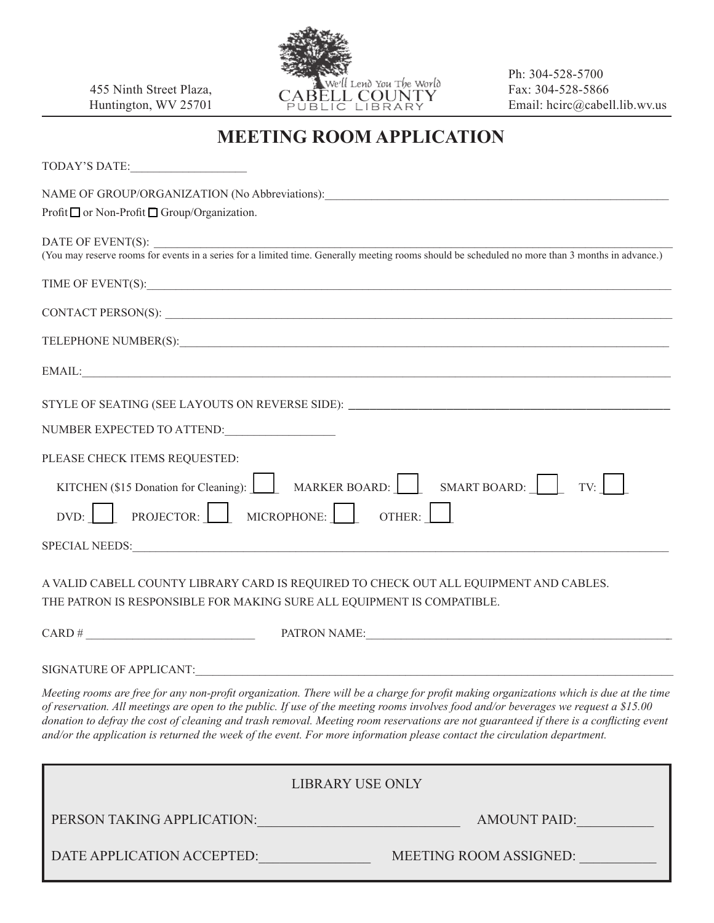455 Ninth Street Plaza, Huntington, WV 25701



Ph: 304-528-5700 Fax: 304-528-5866 Email: hcirc@cabell.lib.wv.us

## **MEETING ROOM APPLICATION**

TODAY'S DATE:

NAME OF GROUP/ORGANIZATION (No Abbreviations):

Profit  $\Box$  or Non-Profit  $\Box$  Group/Organization.

DATE OF EVENT(S):

(You may reserve rooms for events in a series for a limited time. Generally meeting rooms should be scheduled no more than 3 months in advance.)

TIME OF EVENT(S): \_\_\_\_\_\_\_\_\_\_\_\_\_\_\_\_\_\_\_\_\_\_\_\_\_\_\_\_\_\_\_\_\_\_\_\_\_\_\_\_\_\_\_\_\_\_\_\_\_\_\_\_\_\_\_\_\_\_\_\_\_\_\_\_\_\_\_\_\_\_\_\_\_\_\_\_\_\_\_\_\_\_\_\_\_\_\_\_\_\_

CONTACT PERSON(S):

TELEPHONE NUMBER(S):

| the contract of the contract of the contract of the contract of the contract of<br>__<br>+ N/LA<br>$\sim$<br>$\overline{1}$ |  |  |
|-----------------------------------------------------------------------------------------------------------------------------|--|--|
|                                                                                                                             |  |  |

STYLE OF SEATING (SEE LAYOUTS ON REVERSE SIDE): \_\_\_\_\_\_\_\_\_\_\_\_\_\_\_\_\_\_\_\_\_\_\_\_\_\_\_\_\_\_\_\_\_

| NUMBER EXPECTED TO ATTEND: |  |
|----------------------------|--|
|                            |  |

| PLEASE CHECK ITEMS REQUESTED:                                               |
|-----------------------------------------------------------------------------|
| KITCHEN (\$15 Donation for Cleaning): MARKER BOARD: SMART BOARD: $\Box$ TV: |
| $DVD:$ PROJECTOR: MICROPHONE: OTHER:                                        |
| <b>SPECIAL NEEDS:</b>                                                       |

A VALID CABELL COUNTY LIBRARY CARD IS REQUIRED TO CHECK OUT ALL EQUIPMENT AND CABLES. THE PATRON IS RESPONSIBLE FOR MAKING SURE ALL EQUIPMENT IS COMPATIBLE.

| `ARD | $-$<br>D٨<br>ΛN<br>״ע<br>. M F<br>NI A<br>the contract of the contract of the contract of the contract of the contract of the contract of the contract of |
|------|-----------------------------------------------------------------------------------------------------------------------------------------------------------|
|      |                                                                                                                                                           |

SIGNATURE OF APPLICANT:

*Meeting rooms are free for any non-profit organization. There will be a charge for profit making organizations which is due at the time of reservation. All meetings are open to the public. If use of the meeting rooms involves food and/or beverages we request a \$15.00*  donation to defray the cost of cleaning and trash removal. Meeting room reservations are not guaranteed if there is a conflicting event *and/or the application is returned the week of the event. For more information please contact the circulation department.*

| <b>LIBRARY USE ONLY</b>    |                               |                     |  |  |
|----------------------------|-------------------------------|---------------------|--|--|
| PERSON TAKING APPLICATION: |                               | <b>AMOUNT PAID:</b> |  |  |
| DATE APPLICATION ACCEPTED: | <b>MEETING ROOM ASSIGNED:</b> |                     |  |  |